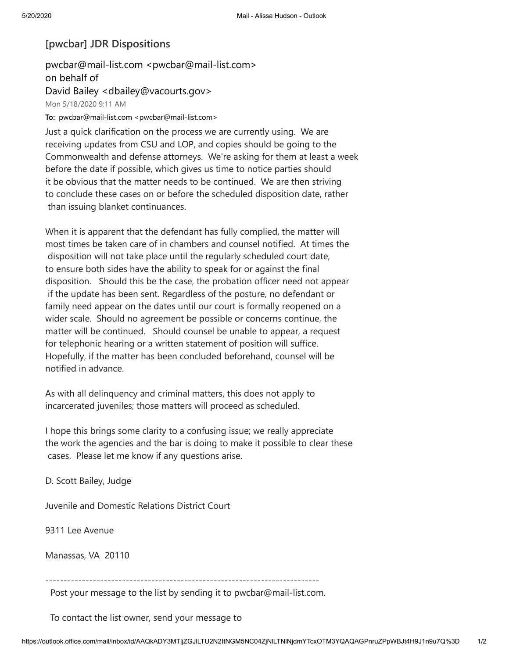## **[pwcbar] JDR Dispositions**

pwcbar@mail-list.com <pwcbar@mail-list.com> on behalf of David Bailey <dbailey@vacourts.gov> Mon 5/18/2020 9:11 AM

To: pwcbar@mail-list.com <pwcbar@mail-list.com>

Just a quick clarification on the process we are currently using. We are receiving updates from CSU and LOP, and copies should be going to the Commonwealth and defense attorneys. We're asking for them at least a week before the date if possible, which gives us time to notice parties should it be obvious that the matter needs to be continued. We are then striving to conclude these cases on or before the scheduled disposition date, rather than issuing blanket continuances.

When it is apparent that the defendant has fully complied, the matter will most times be taken care of in chambers and counsel notified. At times the disposition will not take place until the regularly scheduled court date, to ensure both sides have the ability to speak for or against the final disposition. Should this be the case, the probation officer need not appear if the update has been sent. Regardless of the posture, no defendant or family need appear on the dates until our court is formally reopened on a wider scale. Should no agreement be possible or concerns continue, the matter will be continued. Should counsel be unable to appear, a request for telephonic hearing or a written statement of position will suffice. Hopefully, if the matter has been concluded beforehand, counsel will be notified in advance.

As with all delinquency and criminal matters, this does not apply to incarcerated juveniles; those matters will proceed as scheduled.

I hope this brings some clarity to a confusing issue; we really appreciate the work the agencies and the bar is doing to make it possible to clear these cases. Please let me know if any questions arise.

D. Scott Bailey, Judge

Juvenile and Domestic Relations District Court

9311 Lee Avenue

Manassas, VA 20110

---------------------------------------------------------------------------

Post your message to the list by sending it to pwcbar@mail-list.com.

To contact the list owner, send your message to